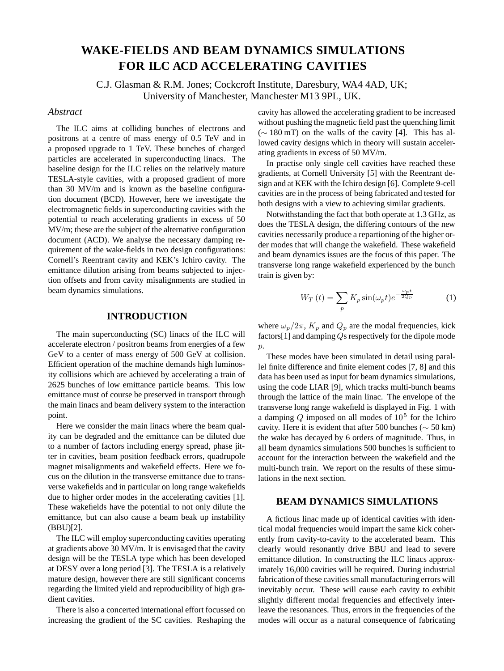# **WAKE-FIELDS AND BEAM DYNAMICS SIMULATIONS FOR ILC ACD ACCELERATING CAVITIES**

C.J. Glasman & R.M. Jones; Cockcroft Institute, Daresbury, WA4 4AD, UK; University of Manchester, Manchester M13 9PL, UK.

## *Abstract*

The ILC aims at colliding bunches of electrons and positrons at a centre of mass energy of 0.5 TeV and in a proposed upgrade to 1 TeV. These bunches of charged particles are accelerated in superconducting linacs. The baseline design for the ILC relies on the relatively mature TESLA-style cavities, with a proposed gradient of more than 30 MV/m and is known as the baseline configuration document (BCD). However, here we investigate the electromagnetic fields in superconducting cavities with the potential to reach accelerating gradients in excess of 50 MV/m; these are the subject of the alternative configuration document (ACD). We analyse the necessary damping requirement of the wake-fields in two design configurations: Cornell's Reentrant cavity and KEK's Ichiro cavity. The emittance dilution arising from beams subjected to injection offsets and from cavity misalignments are studied in beam dynamics simulations.

## **INTRODUCTION**

The main superconducting (SC) linacs of the ILC will accelerate electron / positron beams from energies of a few GeV to a center of mass energy of 500 GeV at collision. Efficient operation of the machine demands high luminosity collisions which are achieved by accelerating a train of 2625 bunches of low emittance particle beams. This low emittance must of course be preserved in transport through the main linacs and beam delivery system to the interaction point.

Here we consider the main linacs where the beam quality can be degraded and the emittance can be diluted due to a number of factors including energy spread, phase jitter in cavities, beam position feedback errors, quadrupole magnet misalignments and wakefield effects. Here we focus on the dilution in the transverse emittance due to transverse wakefields and in particular on long range wakefields due to higher order modes in the accelerating cavities [1]. These wakefields have the potential to not only dilute the emittance, but can also cause a beam beak up instability (BBU)[2].

The ILC will employ superconducting cavities operating at gradients above 30 MV/m. It is envisaged that the cavity design will be the TESLA type which has been developed at DESY over a long period [3]. The TESLA is a relatively mature design, however there are still significant concerns regarding the limited yield and reproducibility of high gradient cavities.

There is also a concerted international effort focussed on increasing the gradient of the SC cavities. Reshaping the cavity has allowed the accelerating gradient to be increased without pushing the magnetic field past the quenching limit (∼ 180 mT) on the walls of the cavity [4]. This has allowed cavity designs which in theory will sustain accelerating gradients in excess of 50 MV/m.

In practise only single cell cavities have reached these gradients, at Cornell University [5] with the Reentrant design and at KEK with the Ichiro design [6]. Complete 9-cell cavities are in the process of being fabricated and tested for both designs with a view to achieving similar gradients.

Notwithstanding the fact that both operate at 1.3 GHz, as does the TESLA design, the differing contours of the new cavities necessarily produce a repartioning of the higher order modes that will change the wakefield. These wakefield and beam dynamics issues are the focus of this paper. The transverse long range wakefield experienced by the bunch train is given by:

$$
W_T(t) = \sum_p K_p \sin(\omega_p t) e^{-\frac{\omega_p t}{2Q_p}}
$$
 (1)

where  $\omega_p/2\pi$ ,  $K_p$  and  $Q_p$  are the modal frequencies, kick factors[1] and damping Qs respectively for the dipole mode  $p$ .

These modes have been simulated in detail using parallel finite difference and finite element codes [7, 8] and this data has been used as input for beam dynamics simulations, using the code LIAR [9], which tracks multi-bunch beams through the lattice of the main linac. The envelope of the transverse long range wakefield is displayed in Fig. 1 with a damping  $Q$  imposed on all modes of  $10<sup>5</sup>$  for the Ichiro cavity. Here it is evident that after 500 bunches ( $\sim$  50 km) the wake has decayed by 6 orders of magnitude. Thus, in all beam dynamics simulations 500 bunches is sufficient to account for the interaction between the wakefield and the multi-bunch train. We report on the results of these simulations in the next section.

#### **BEAM DYNAMICS SIMULATIONS**

A fictious linac made up of identical cavities with identical modal frequencies would impart the same kick coherently from cavity-to-cavity to the accelerated beam. This clearly would resonantly drive BBU and lead to severe emittance dilution. In constructing the ILC linacs approximately 16,000 cavities will be required. During industrial fabrication of these cavities small manufacturing errors will inevitably occur. These will cause each cavity to exhibit slightly different modal frequencies and effectively interleave the resonances. Thus, errors in the frequencies of the modes will occur as a natural consequence of fabricating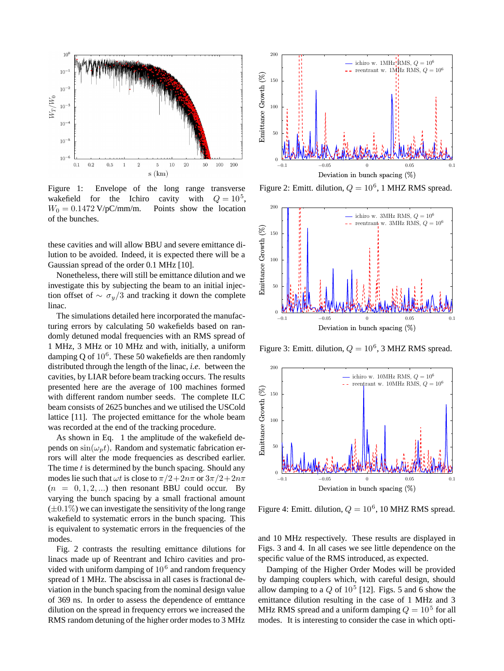

Figure 1: Envelope of the long range transverse wakefield for the Ichiro cavity with  $Q = 10^5$ ,  $W_0 = 0.1472 \text{ V/pC/mm/m}.$  Points show the location of the bunches.

these cavities and will allow BBU and severe emittance dilution to be avoided. Indeed, it is expected there will be a Gaussian spread of the order 0.1 MHz [10].

Nonetheless, there will still be emittance dilution and we investigate this by subjecting the beam to an initial injection offset of  $\sim \sigma_y/3$  and tracking it down the complete linac.

The simulations detailed here incorporated the manufacturing errors by calculating 50 wakefields based on randomly detuned modal frequencies with an RMS spread of 1 MHz, 3 MHz or 10 MHz and with, initially, a uniform damping Q of  $10^6$ . These 50 wakefields are then randomly distributed through the length of the linac, *i.e*. between the cavities, by LIAR before beam tracking occurs. The results presented here are the average of 100 machines formed with different random number seeds. The complete ILC beam consists of 2625 bunches and we utilised the USCold lattice [11]. The projected emittance for the whole beam was recorded at the end of the tracking procedure.

As shown in Eq. 1 the amplitude of the wakefield depends on  $\sin(\omega_p t)$ . Random and systematic fabrication errors will alter the mode frequencies as described earlier. The time  $t$  is determined by the bunch spacing. Should any modes lie such that  $\omega t$  is close to  $\pi/2+2n\pi$  or  $3\pi/2+2n\pi$  $(n = 0, 1, 2, ...)$  then resonant BBU could occur. By varying the bunch spacing by a small fractional amount  $(\pm 0.1\%)$  we can investigate the sensitivity of the long range wakefield to systematic errors in the bunch spacing. This is equivalent to systematic errors in the frequencies of the modes.

Fig. 2 contrasts the resulting emittance dilutions for linacs made up of Reentrant and Ichiro cavities and provided with uniform damping of  $10<sup>6</sup>$  and random frequency spread of 1 MHz. The abscissa in all cases is fractional deviation in the bunch spacing from the nominal design value of 369 ns. In order to assess the dependence of emttance dilution on the spread in frequency errors we increased the RMS random detuning of the higher order modes to 3 MHz



Figure 2: Emitt. dilution,  $Q = 10^6$ , 1 MHZ RMS spread.



Figure 3: Emitt. dilution,  $Q = 10^6$ , 3 MHZ RMS spread.



Figure 4: Emitt. dilution,  $Q = 10^6$ , 10 MHZ RMS spread.

and 10 MHz respectively. These results are displayed in Figs. 3 and 4. In all cases we see little dependence on the specific value of the RMS introduced, as expected.

Damping of the Higher Order Modes will be provided by damping couplers which, with careful design, should allow damping to a  $Q$  of  $10^5$  [12]. Figs. 5 and 6 show the emittance dilution resulting in the case of 1 MHz and 3 MHz RMS spread and a uniform damping  $Q = 10<sup>5</sup>$  for all modes. It is interesting to consider the case in which opti-